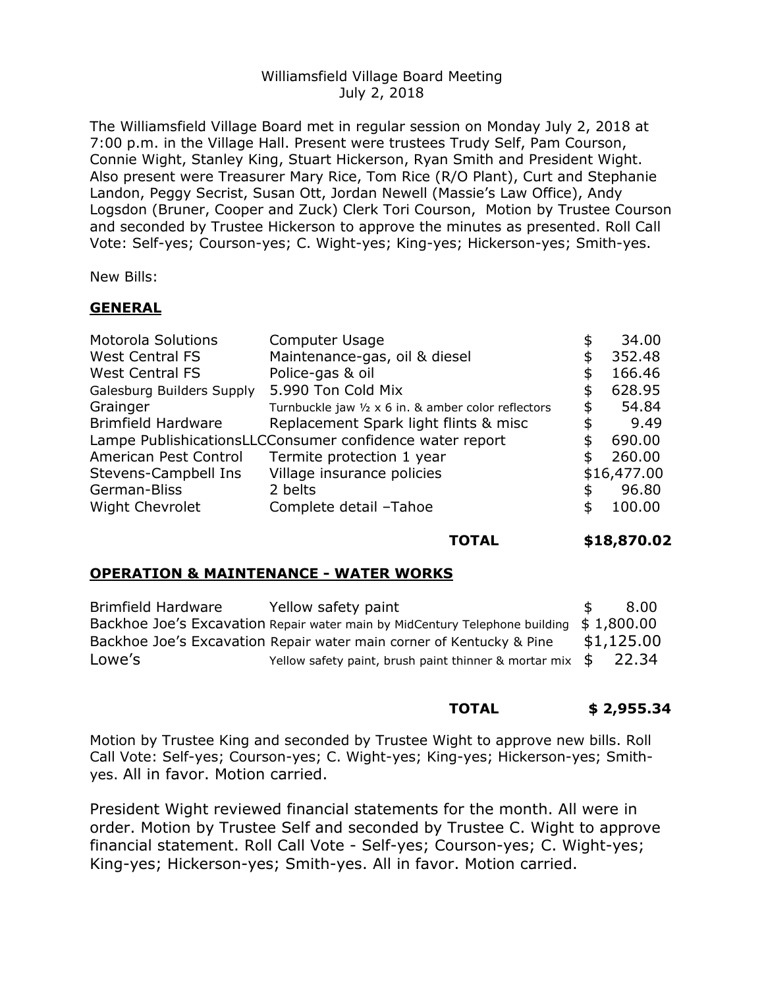# Williamsfield Village Board Meeting July 2, 2018

The Williamsfield Village Board met in regular session on Monday July 2, 2018 at 7:00 p.m. in the Village Hall. Present were trustees Trudy Self, Pam Courson, Connie Wight, Stanley King, Stuart Hickerson, Ryan Smith and President Wight. Also present were Treasurer Mary Rice, Tom Rice (R/O Plant), Curt and Stephanie Landon, Peggy Secrist, Susan Ott, Jordan Newell (Massie's Law Office), Andy Logsdon (Bruner, Cooper and Zuck) Clerk Tori Courson, Motion by Trustee Courson and seconded by Trustee Hickerson to approve the minutes as presented. Roll Call Vote: Self-yes; Courson-yes; C. Wight-yes; King-yes; Hickerson-yes; Smith-yes.

New Bills:

# **GENERAL**

| <b>Motorola Solutions</b>                                | Computer Usage                                      | \$ | 34.00       |
|----------------------------------------------------------|-----------------------------------------------------|----|-------------|
| <b>West Central FS</b>                                   | Maintenance-gas, oil & diesel                       | \$ | 352.48      |
| <b>West Central FS</b>                                   | Police-gas & oil                                    |    | 166.46      |
| Galesburg Builders Supply                                | 5.990 Ton Cold Mix                                  | S  | 628.95      |
| Grainger                                                 | Turnbuckle jaw 1/2 x 6 in. & amber color reflectors | S  | 54.84       |
| <b>Brimfield Hardware</b>                                | Replacement Spark light flints & misc               | \$ | 9.49        |
| Lampe PublishicationsLLCConsumer confidence water report |                                                     |    | 690.00      |
| American Pest Control                                    | Termite protection 1 year                           | S  | 260.00      |
| Stevens-Campbell Ins                                     | Village insurance policies                          |    | \$16,477.00 |
| German-Bliss                                             | 2 belts                                             |    | 96.80       |
| <b>Wight Chevrolet</b>                                   | Complete detail -Tahoe                              | \$ | 100.00      |
|                                                          |                                                     |    |             |

#### **TOTAL \$18,870.02**

### **OPERATION & MAINTENANCE - WATER WORKS**

| Brimfield Hardware | Yellow safety paint                                                                     | <b>T</b> | 8.00       |
|--------------------|-----------------------------------------------------------------------------------------|----------|------------|
|                    | Backhoe Joe's Excavation Repair water main by MidCentury Telephone building $$1,800.00$ |          |            |
|                    | Backhoe Joe's Excavation Repair water main corner of Kentucky & Pine                    |          | \$1,125.00 |
| Lowe's             | Yellow safety paint, brush paint thinner & mortar mix $\frac{1}{9}$ 22.34               |          |            |

### **TOTAL \$ 2,955.34**

Motion by Trustee King and seconded by Trustee Wight to approve new bills. Roll Call Vote: Self-yes; Courson-yes; C. Wight-yes; King-yes; Hickerson-yes; Smithyes. All in favor. Motion carried.

President Wight reviewed financial statements for the month. All were in order. Motion by Trustee Self and seconded by Trustee C. Wight to approve financial statement. Roll Call Vote - Self-yes; Courson-yes; C. Wight-yes; King-yes; Hickerson-yes; Smith-yes. All in favor. Motion carried.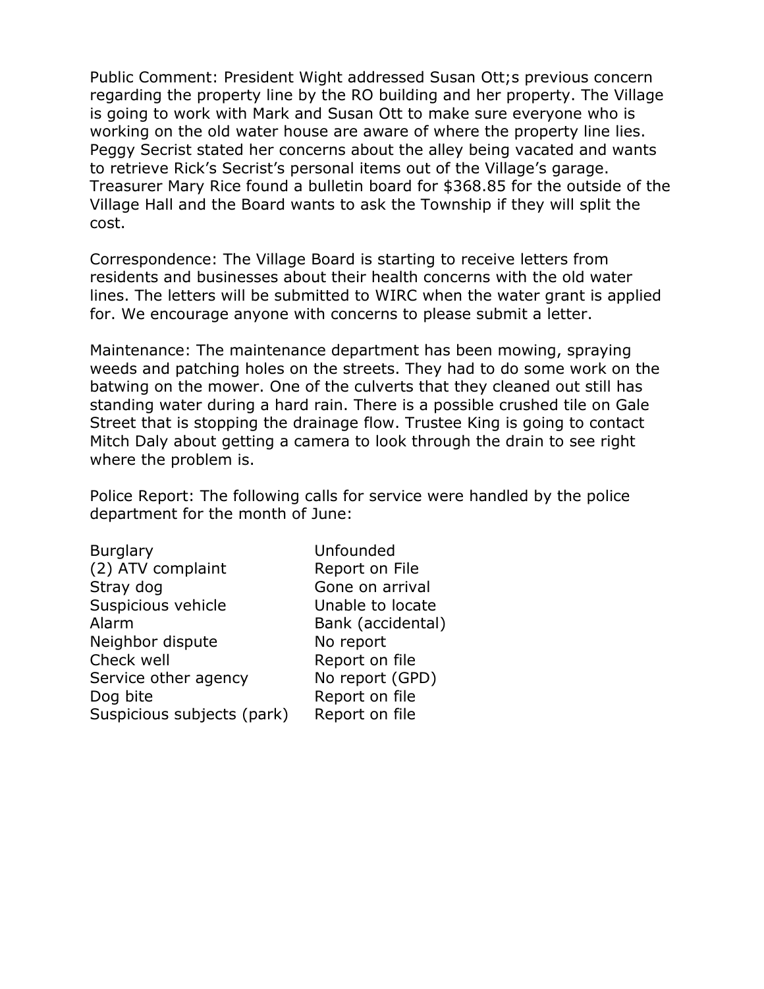Public Comment: President Wight addressed Susan Ott;s previous concern regarding the property line by the RO building and her property. The Village is going to work with Mark and Susan Ott to make sure everyone who is working on the old water house are aware of where the property line lies. Peggy Secrist stated her concerns about the alley being vacated and wants to retrieve Rick's Secrist's personal items out of the Village's garage. Treasurer Mary Rice found a bulletin board for \$368.85 for the outside of the Village Hall and the Board wants to ask the Township if they will split the cost.

Correspondence: The Village Board is starting to receive letters from residents and businesses about their health concerns with the old water lines. The letters will be submitted to WIRC when the water grant is applied for. We encourage anyone with concerns to please submit a letter.

Maintenance: The maintenance department has been mowing, spraying weeds and patching holes on the streets. They had to do some work on the batwing on the mower. One of the culverts that they cleaned out still has standing water during a hard rain. There is a possible crushed tile on Gale Street that is stopping the drainage flow. Trustee King is going to contact Mitch Daly about getting a camera to look through the drain to see right where the problem is.

Police Report: The following calls for service were handled by the police department for the month of June:

| <b>Burglary</b>            | Unfounded         |
|----------------------------|-------------------|
| (2) ATV complaint          | Report on File    |
| Stray dog                  | Gone on arrival   |
| Suspicious vehicle         | Unable to locate  |
| Alarm                      | Bank (accidental) |
| Neighbor dispute           | No report         |
| Check well                 | Report on file    |
| Service other agency       | No report (GPD)   |
| Dog bite                   | Report on file    |
| Suspicious subjects (park) | Report on file    |
|                            |                   |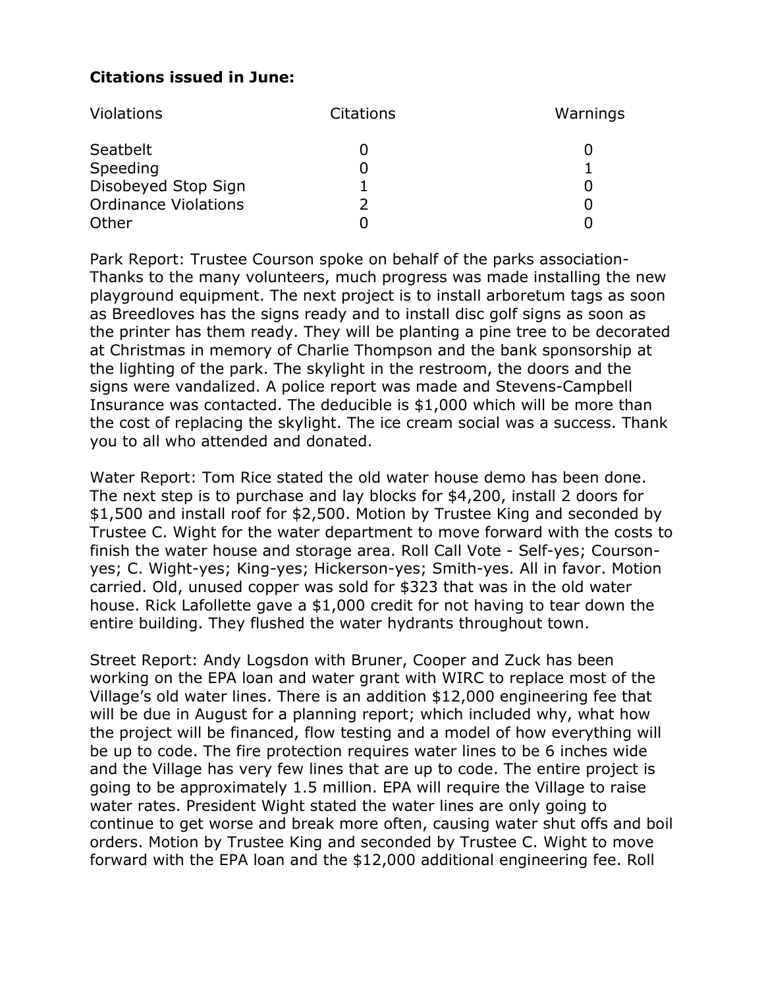# **Citations issued in June:**

| <b>Violations</b>           | <b>Citations</b> | Warnings |
|-----------------------------|------------------|----------|
| Seatbelt                    |                  |          |
| Speeding                    |                  |          |
| Disobeyed Stop Sign         |                  |          |
| <b>Ordinance Violations</b> |                  |          |
| Other                       |                  |          |

Park Report: Trustee Courson spoke on behalf of the parks association-Thanks to the many volunteers, much progress was made installing the new playground equipment. The next project is to install arboretum tags as soon as Breedloves has the signs ready and to install disc golf signs as soon as the printer has them ready. They will be planting a pine tree to be decorated at Christmas in memory of Charlie Thompson and the bank sponsorship at the lighting of the park. The skylight in the restroom, the doors and the signs were vandalized. A police report was made and Stevens-Campbell Insurance was contacted. The deducible is \$1,000 which will be more than the cost of replacing the skylight. The ice cream social was a success. Thank you to all who attended and donated.

Water Report: Tom Rice stated the old water house demo has been done. The next step is to purchase and lay blocks for \$4,200, install 2 doors for \$1,500 and install roof for \$2,500. Motion by Trustee King and seconded by Trustee C. Wight for the water department to move forward with the costs to finish the water house and storage area. Roll Call Vote - Self-yes; Coursonyes; C. Wight-yes; King-yes; Hickerson-yes; Smith-yes. All in favor. Motion carried. Old, unused copper was sold for \$323 that was in the old water house. Rick Lafollette gave a \$1,000 credit for not having to tear down the entire building. They flushed the water hydrants throughout town.

Street Report: Andy Logsdon with Bruner, Cooper and Zuck has been working on the EPA loan and water grant with WIRC to replace most of the Village's old water lines. There is an addition \$12,000 engineering fee that will be due in August for a planning report; which included why, what how the project will be financed, flow testing and a model of how everything will be up to code. The fire protection requires water lines to be 6 inches wide and the Village has very few lines that are up to code. The entire project is going to be approximately 1.5 million. EPA will require the Village to raise water rates. President Wight stated the water lines are only going to continue to get worse and break more often, causing water shut offs and boil orders. Motion by Trustee King and seconded by Trustee C. Wight to move forward with the EPA loan and the \$12,000 additional engineering fee. Roll